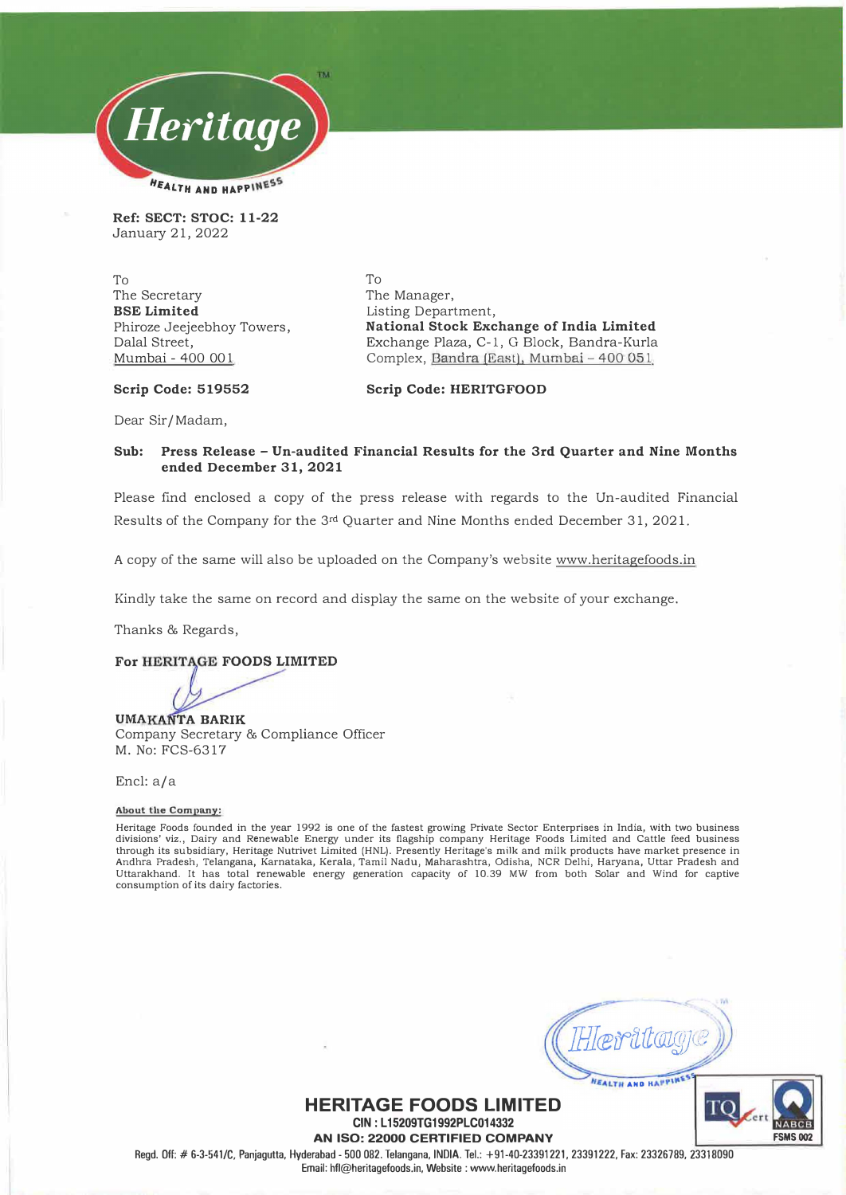

**Ref: SECT: STOC: 11-22**  January 21, 2022

To The Secretary **BSE Limited**  Phiroze Jeejeebhoy Towers, Dalal Street, Mumbai - 400 001

To The Manager, Listing Department, **National Stock Exchange of India Limited**  Exchange Plaza, C-1, G Block, Bandra-Kurla Complex, Bandra (East), Mumbai - 400 051

#### **Scrip Code: 519552**

**Scrip Code: HERITGFOOD** 

Dear Sir/Madam,

#### **Sub: Press Release - Un-audited Financial Results for the 3rd Quarter and Nine Months ended December 31, 2021**

Please find enclosed a copy of the press release with regards to the Un-audited Financial Results of the Company for the 3rd Quarter and Nine Months ended December 31, 2021.

A copy of the same will also be uploaded on the Company's website www.heritagefoods.in

Kindly take the same on record and display the same on the website of your exchange.

Thanks & Regards,

#### For HERITAGE FOODS LIMITED

**UMAKANTA BARIK** Company Secretary & Compliance Officer M. No: FCS-6317

Encl: a/a

#### **About the Company:**

Heritage Foods founded in the year 1992 is one of the fastest growing Private Sector Enterprises in India, with two business divisions' viz., Dairy and Renewable Energy under its flagship company Heritage Foods Limited and Cattle feed business through its subsidiary, Heritage Nutrivet Limited (HNL). Presently Heritage's milk and milk products have market presence in Andhra Pradesh, Telangana, Karnataka, Kerala, Tamil Nadu, Maharashtra, Odisha, NCR Delhi, Haryana, Uttar Pradesh and<br>Uttarakhand. It has total renewable energy generation capacity of 10.39 MW from both Solar and Wind for c consumption of its dairy factories.

**HEALTH AND HAPPIN** 

**FSMS002** 

**HERITAGE FOODS LIMITED CIN: L15209TG1992PLC014332 AN ISO: 22000 CERTIFIED COMPANY**  Regd. Off:# 6-3-541/C, Panjagutta, Hyderabad - 500 082. Telangana, INDIA. Tel.: +91-40-23391221, 23391222, Fax: 23326789, 23318090 Email: hfl@heritagefoods.in, Website : www.heritagefoods.in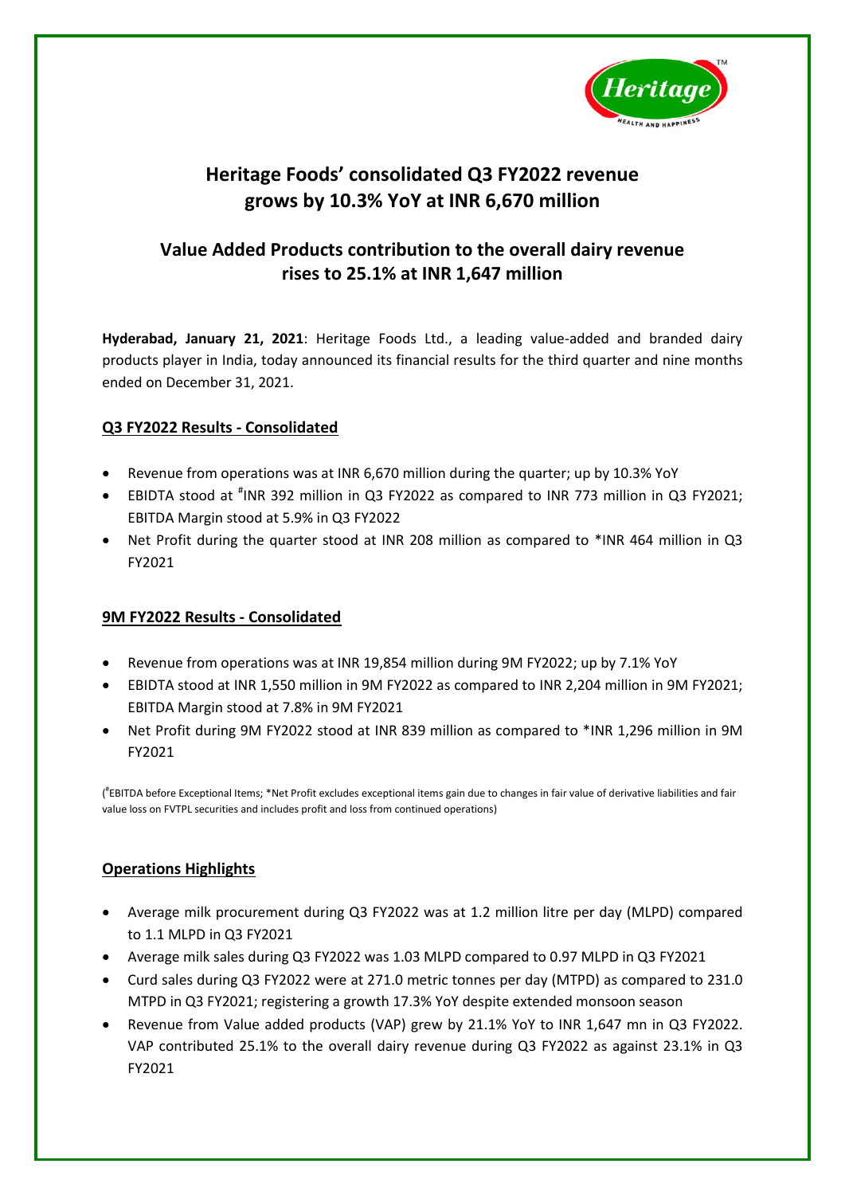

# **Heritage Foods' consolidated Q3 FY2022 revenue grows by 10.3% YoY at INR 6,670 million**

# **Value Added Products contribution to the overall dairy revenue rises to 25.1% at INR 1,647 million**

**Hyderabad, January 21, 2021**: Heritage Foods Ltd., a leading value-added and branded dairy products player in India, today announced its financial results for the third quarter and nine months ended on December 31, 2021.

# **Q3 FY2022 Results - Consolidated**

- Revenue from operations was at INR 6,670 million during the quarter; up by 10.3% YoY
- EBIDTA stood at "INR 392 million in Q3 FY2022 as compared to INR 773 million in Q3 FY2021; EBITDA Margin stood at 5.9% in Q3 FY2022
- Net Profit during the quarter stood at INR 208 million as compared to \*INR 464 million in Q3 FY2021

## **9M FY2022 Results - Consolidated**

- Revenue from operations was at INR 19,854 million during 9M FY2022; up by 7.1% YoY
- EBIDTA stood at INR 1,550 million in 9M FY2022 as compared to INR 2,204 million in 9M FY2021; EBITDA Margin stood at 7.8% in 9M FY2021
- Net Profit during 9M FY2022 stood at INR 839 million as compared to \*INR 1,296 million in 9M FY2021

( # EBITDA before Exceptional Items; \*Net Profit excludes exceptional items gain due to changes in fair value of derivative liabilities and fair value loss on FVTPL securities and includes profit and loss from continued operations)

# **Operations Highlights**

- Average milk procurement during Q3 FY2022 was at 1.2 million litre per day (MLPD) compared to 1.1 MLPD in Q3 FY2021
- Average milk sales during Q3 FY2022 was 1.03 MLPD compared to 0.97 MLPD in Q3 FY2021
- Curd sales during Q3 FY2022 were at 271.0 metric tonnes per day (MTPD) as compared to 231.0 MTPD in Q3 FY2021; registering a growth 17.3% YoY despite extended monsoon season
- Revenue from Value added products (VAP) grew by 21.1% YoY to INR 1,647 mn in Q3 FY2022. VAP contributed 25.1% to the overall dairy revenue during Q3 FY2022 as against 23.1% in Q3 FY2021